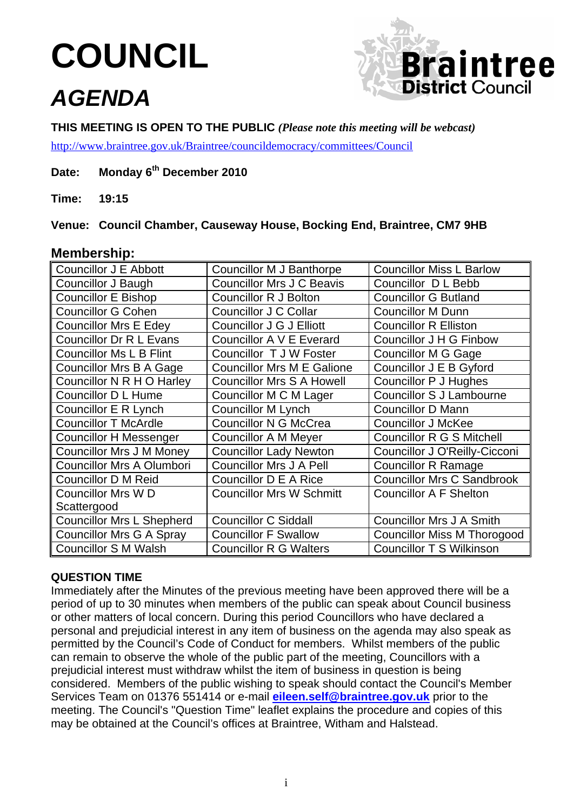# **COUNCIL**

# *AGENDA*



**THIS MEETING IS OPEN TO THE PUBLIC** *(Please note this meeting will be webcast)*

<http://www.braintree.gov.uk/Braintree/councildemocracy/committees/Council>

# **Date: Monday 6th December 2010**

**Time: 19:15**

**Venue: Council Chamber, Causeway House, Bocking End, Braintree, CM7 9HB** 

# **Membership:**

| Councillor J E Abbott            | Councillor M J Banthorpe          | <b>Councillor Miss L Barlow</b>    |
|----------------------------------|-----------------------------------|------------------------------------|
| <b>Councillor J Baugh</b>        | <b>Councillor Mrs J C Beavis</b>  | Councillor D L Bebb                |
| <b>Councillor E Bishop</b>       | <b>Councillor R J Bolton</b>      | <b>Councillor G Butland</b>        |
| <b>Councillor G Cohen</b>        | Councillor J C Collar             | <b>Councillor M Dunn</b>           |
| <b>Councillor Mrs E Edey</b>     | Councillor J G J Elliott          | <b>Councillor R Elliston</b>       |
| <b>Councillor Dr R L Evans</b>   | Councillor A V E Everard          | <b>Councillor J H G Finbow</b>     |
| <b>Councillor Ms L B Flint</b>   | Councillor T J W Foster           | <b>Councillor M G Gage</b>         |
| <b>Councillor Mrs B A Gage</b>   | <b>Councillor Mrs M E Galione</b> | Councillor J E B Gyford            |
| Councillor N R H O Harley        | <b>Councillor Mrs S A Howell</b>  | <b>Councillor P J Hughes</b>       |
| <b>Councillor D L Hume</b>       | Councillor M C M Lager            | <b>Councillor S J Lambourne</b>    |
| Councillor E R Lynch             | <b>Councillor M Lynch</b>         | <b>Councillor D Mann</b>           |
| <b>Councillor T McArdle</b>      | <b>Councillor N G McCrea</b>      | <b>Councillor J McKee</b>          |
| Councillor H Messenger           | <b>Councillor A M Meyer</b>       | Councillor R G S Mitchell          |
| <b>Councillor Mrs J M Money</b>  | <b>Councillor Lady Newton</b>     | Councillor J O'Reilly-Cicconi      |
| <b>Councillor Mrs A Olumbori</b> | <b>Councillor Mrs J A Pell</b>    | <b>Councillor R Ramage</b>         |
| Councillor D M Reid              | Councillor D E A Rice             | <b>Councillor Mrs C Sandbrook</b>  |
| <b>Councillor Mrs WD</b>         | <b>Councillor Mrs W Schmitt</b>   | <b>Councillor A F Shelton</b>      |
| Scattergood                      |                                   |                                    |
| <b>Councillor Mrs L Shepherd</b> | <b>Councillor C Siddall</b>       | <b>Councillor Mrs J A Smith</b>    |
| <b>Councillor Mrs G A Spray</b>  | <b>Councillor F Swallow</b>       | <b>Councillor Miss M Thorogood</b> |
| <b>Councillor S M Walsh</b>      | <b>Councillor R G Walters</b>     | <b>Councillor T S Wilkinson</b>    |

# **QUESTION TIME**

Immediately after the Minutes of the previous meeting have been approved there will be a period of up to 30 minutes when members of the public can speak about Council business or other matters of local concern. During this period Councillors who have declared a personal and prejudicial interest in any item of business on the agenda may also speak as permitted by the Council's Code of Conduct for members. Whilst members of the public can remain to observe the whole of the public part of the meeting, Councillors with a prejudicial interest must withdraw whilst the item of business in question is being considered. Members of the public wishing to speak should contact the Council's Member Services Team on 01376 551414 or e-mail **[eileen.self@braintree.gov.uk](mailto:eileen.self@braintree.gov.uk)** prior to the meeting. The Council's "Question Time" leaflet explains the procedure and copies of this may be obtained at the Council's offices at Braintree, Witham and Halstead.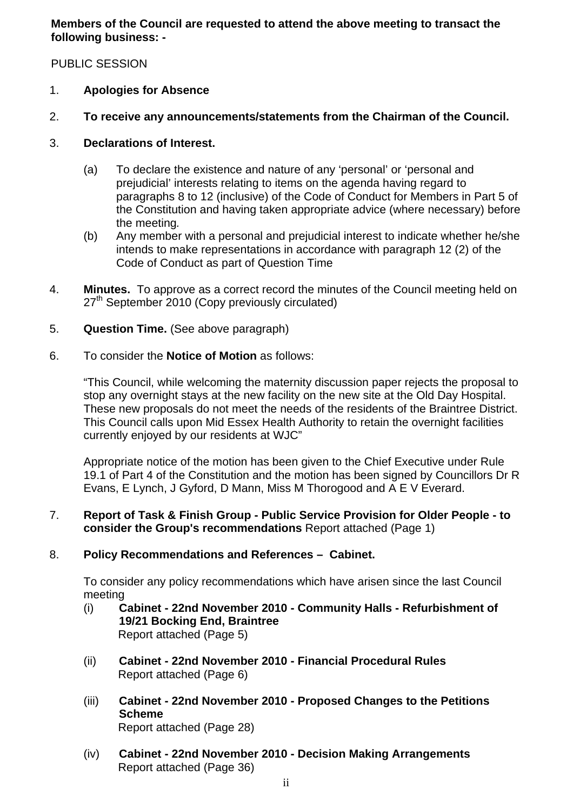**Members of the Council are requested to attend the above meeting to transact the following business: -** 

PUBLIC SESSION

- 1. **Apologies for Absence**
- 2. **To receive any announcements/statements from the Chairman of the Council.**
- 3. **Declarations of Interest.** 
	- (a) To declare the existence and nature of any 'personal' or 'personal and prejudicial' interests relating to items on the agenda having regard to paragraphs 8 to 12 (inclusive) of the Code of Conduct for Members in Part 5 of the Constitution and having taken appropriate advice (where necessary) before the meeting*.*
	- (b) Any member with a personal and prejudicial interest to indicate whether he/she intends to make representations in accordance with paragraph 12 (2) of the Code of Conduct as part of Question Time
- 4. **Minutes.** To approve as a correct record the minutes of the Council meeting held on 27<sup>th</sup> September 2010 (Copy previously circulated)
- 5. **Question Time.** (See above paragraph)
- 6. To consider the **Notice of Motion** as follows:

"This Council, while welcoming the maternity discussion paper rejects the proposal to stop any overnight stays at the new facility on the new site at the Old Day Hospital. These new proposals do not meet the needs of the residents of the Braintree District. This Council calls upon Mid Essex Health Authority to retain the overnight facilities currently enjoyed by our residents at WJC"

Appropriate notice of the motion has been given to the Chief Executive under Rule 19.1 of Part 4 of the Constitution and the motion has been signed by Councillors Dr R Evans, E Lynch, J Gyford, D Mann, Miss M Thorogood and A E V Everard.

#### 7. **Report of Task & Finish Group - Public Service Provision for Older People - to consider the Group's recommendations** Report attached (Page 1)

# 8. **Policy Recommendations and References – Cabinet.**

To consider any policy recommendations which have arisen since the last Council meeting

- (i) **Cabinet 22nd November 2010 Community Halls Refurbishment of 19/21 Bocking End, Braintree**  Report attached (Page 5)
- (ii) **Cabinet 22nd November 2010 Financial Procedural Rules**  Report attached (Page 6)
- (iii) **Cabinet 22nd November 2010 Proposed Changes to the Petitions Scheme**  Report attached (Page 28)
- (iv) **Cabinet 22nd November 2010 Decision Making Arrangements**  Report attached (Page 36)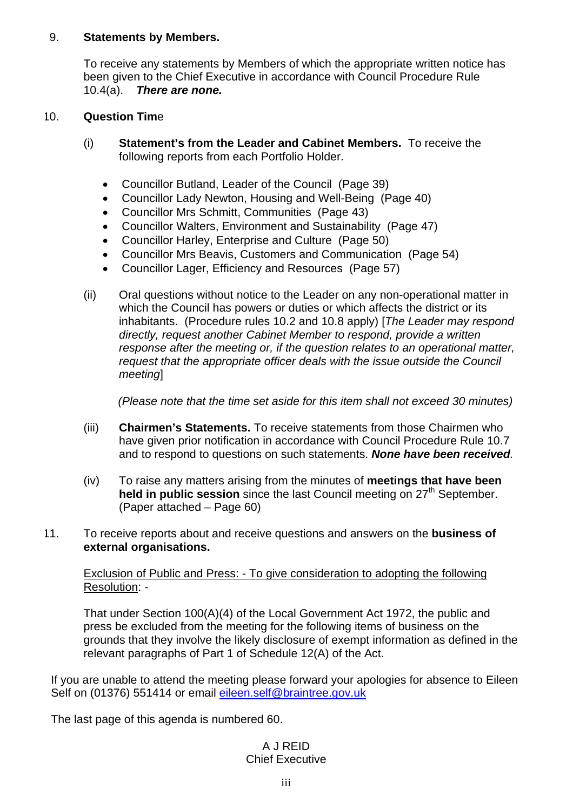#### 9. **Statements by Members.**

To receive any statements by Members of which the appropriate written notice has been given to the Chief Executive in accordance with Council Procedure Rule 10.4(a). *There are none.* 

#### 10. **Question Tim**e

- (i) **Statement's from the Leader and Cabinet Members.** To receive the following reports from each Portfolio Holder.
	- Councillor Butland, Leader of the Council (Page 39)
	- Councillor Lady Newton, Housing and Well-Being (Page 40)
	- Councillor Mrs Schmitt, Communities (Page 43)
	- Councillor Walters, Environment and Sustainability (Page 47)
	- Councillor Harley, Enterprise and Culture (Page 50)
	- Councillor Mrs Beavis, Customers and Communication (Page 54)
	- Councillor Lager, Efficiency and Resources (Page 57)
- (ii) Oral questions without notice to the Leader on any non-operational matter in which the Council has powers or duties or which affects the district or its inhabitants. (Procedure rules 10.2 and 10.8 apply) [*The Leader may respond directly, request another Cabinet Member to respond, provide a written response after the meeting or, if the question relates to an operational matter, request that the appropriate officer deals with the issue outside the Council meeting*]

*(Please note that the time set aside for this item shall not exceed 30 minutes)* 

- (iii) **Chairmen's Statements.** To receive statements from those Chairmen who have given prior notification in accordance with Council Procedure Rule 10.7 and to respond to questions on such statements. *None have been received.*
- (iv) To raise any matters arising from the minutes of **meetings that have been held in public session** since the last Council meeting on 27<sup>th</sup> September. (Paper attached – Page 60)
- 11. To receive reports about and receive questions and answers on the **business of external organisations.**

#### Exclusion of Public and Press: - To give consideration to adopting the following Resolution: -

That under Section 100(A)(4) of the Local Government Act 1972, the public and press be excluded from the meeting for the following items of business on the grounds that they involve the likely disclosure of exempt information as defined in the relevant paragraphs of Part 1 of Schedule 12(A) of the Act.

If you are unable to attend the meeting please forward your apologies for absence to Eileen Self on (01376) 551414 or email [eileen.self@braintree.gov.uk](mailto:eileen.self@braintree.gov.uk)

The last page of this agenda is numbered 60.

#### A J REID Chief Executive